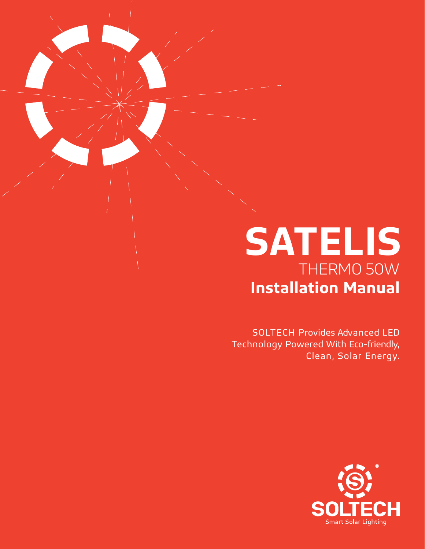# **SATELIS** THERMO 50W **Installation Manual**

SOLTECH Provides Advanced LED Technology Powered With Eco-friendly, Clean, Solar Energy.

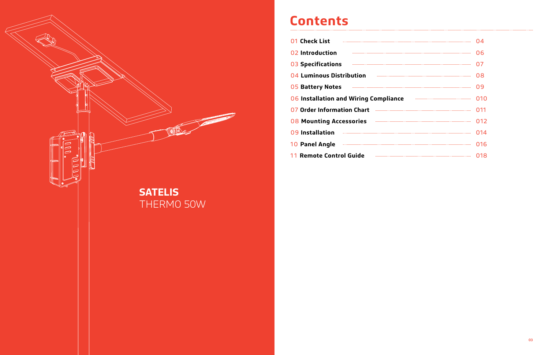

# **Contents**

| 01 Check List                         | (14   |
|---------------------------------------|-------|
| 02 Introduction                       | 06    |
| 03 Specifications                     | 07    |
| 04 Luminous Distribution              | 08    |
| <b>05 Battery Notes</b>               | 09    |
| 06 Installation and Wiring Compliance | 010   |
| 07 Order Information Chart            | (111) |
| <b>08 Mounting Accessories</b>        | 012   |
| 09 Installation                       | 014   |
| 10 Panel Angle                        | 016   |
| 11 Remote Control Guide               | 18    |
|                                       |       |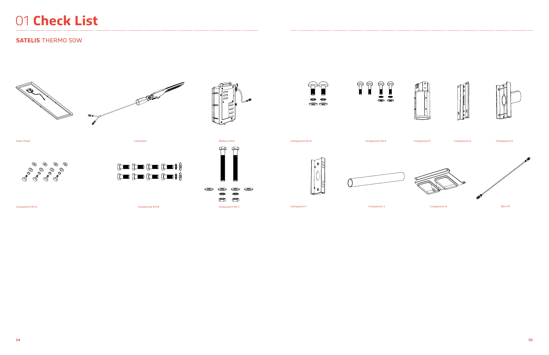









# 01 **Check List**

# **SATELIS** THERMO 50W



















Solar Panel

Component Kit A





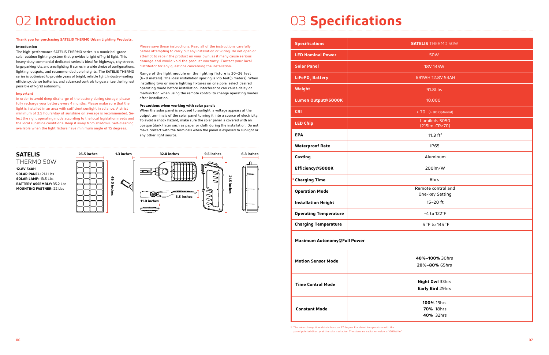# 02 **Introduction** 03 **Specifications**

# **Thank you for purchasing SATELIS THERMO Urban Lighting Products.**

### **Introduction**

The high-performance SATELIS THERMO series is a municipal-grade solar outdoor lighting system that provides bright off-grid light. This heavy-duty commercial dedicated series is ideal for highways, city streets, large parking lots, and area lighting. It comes in a wide choice of configurations, lighting outputs, and recommended pole heights. The SATELIS THERMO series is optimized to provide years of bright, reliable light. Industry-leading efficiency, dense batteries, and advanced controls to guarantee the highest possible off-grid autonomy.

# **Important**

In order to avoid deep discharge of the battery during storage, please fully recharge your battery every 4 months. Please make sure that the light is installed in an area with sufficient sunlight irradiance. A strict minimum of 3.5 hours/day of sunshine on average is recommended. Select the right operating mode according to the local legislation needs and the local sunshine conditions. Keep it away from shadows. Self-cleaning available when the light fixture have minimum angle of 15 degrees.

Please save these instructions. Read all of the instructions carefully before attempting to carry out any installation or wiring. Do not open or attempt to repair the product on your own, as it many cause serious damage and would void the product warranty. Contact your local distributor for any questions concerning the installation.

Range of the light module on the lighting fixture is 20–26 feet (6–8 meters). The ideal installation spacing is >16 feet(5 meters). When installing two or more lighting fixtures on one pole, select desired operating mode before installation. Interference can cause delay or malfunction when using the remote control to change operating modes after installation.

# **Precautions when working with solar panels**

When the solar panel is exposed to sunlight, a voltage appears at the output terminals of the solar panel turning it into a source of electricity. To avoid a shock hazard, make sure the solar panel is covered with an opaque (dark) later such as paper or cloth during the installation. Do not make contact with the terminals when the panel is exposed to sunlight or any other light source.



\* The solar charge time data is base on 77 degree F ambient temperature with the panel pointed directly at the solar radiation. The standard radiation value is 1000W/m2.

| <b>Specifications</b>              | <b>SATELIS</b> THERMO 50W                   |  |  |  |  |  |  |
|------------------------------------|---------------------------------------------|--|--|--|--|--|--|
| <b>LED Nominal Power</b>           | <b>50W</b>                                  |  |  |  |  |  |  |
| <b>Solar Panel</b>                 | 18V 145W                                    |  |  |  |  |  |  |
| LiFePO <sub>4</sub> Battery        | 691WH 12.8V 54AH                            |  |  |  |  |  |  |
| Weight                             | 91.8Lbs                                     |  |  |  |  |  |  |
| Lumen Output@5000K                 | 10,000                                      |  |  |  |  |  |  |
| <b>CRI</b>                         | > 70 (> 80 Optional)                        |  |  |  |  |  |  |
| <b>LED Chip</b>                    | Lumileds 5050<br>(215lm-CR>70)              |  |  |  |  |  |  |
| <b>EPA</b>                         | 11.3 $ft^2$                                 |  |  |  |  |  |  |
| <b>Waterproof Rate</b>             | <b>IP65</b>                                 |  |  |  |  |  |  |
| Casting                            | Aluminum                                    |  |  |  |  |  |  |
| Efficiency@5000K                   | 200lm/W                                     |  |  |  |  |  |  |
| * Charging Time                    | 8hrs                                        |  |  |  |  |  |  |
| <b>Operation Mode</b>              | Remote control and<br>One-key Setting       |  |  |  |  |  |  |
| <b>Installation Height</b>         | $15-20$ ft                                  |  |  |  |  |  |  |
| <b>Operating Temperature</b>       | -4 to 122°F                                 |  |  |  |  |  |  |
| <b>Charging Temperature</b>        | 5 °F to 145 °F                              |  |  |  |  |  |  |
| <b>Maximum Autonomy@Full Power</b> |                                             |  |  |  |  |  |  |
| <b>Motion Sensor Mode</b>          | 40%-100% 30hrs<br>20%-80% 65hrs             |  |  |  |  |  |  |
|                                    |                                             |  |  |  |  |  |  |
| <b>Time Control Mode</b>           | Night Owl 33hrs<br>Early Bird 29hrs         |  |  |  |  |  |  |
| <b>Constant Mode</b>               | 100% 13hrs<br><b>70% 18hrs</b><br>40% 32hrs |  |  |  |  |  |  |
|                                    |                                             |  |  |  |  |  |  |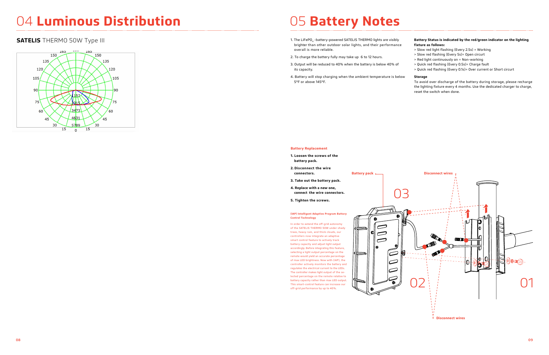

- 1. The LiFePO<sub>4</sub> -battery-powered SATELIS THERMO lights are visibly brighter than other outdoor solar lights, and their performance overall is more reliable.
- 2. To charge the battery fully may take up 6 to 12 hours.
- 3. Output will be reduced to 40% when the battery is below 40% of its capacity.
- 4. Battery will stop charging when the ambient temperature is below 5°F or above 145°F.

# **Battery Status is indicated by the red/green indicator on the lighting fixture as follows:**

- > Slow red light flashing (Every 2.5s) = Working
- > Slow red flashing (Every 5s)= Open circurt
- > Red light continuously on = Non-working
- > Quick red flashing (Every 0.5s)= Charge fault
- > Quick red flashing (Every 0.1s)= Over current or Short circurt

### **Storage**

To avoid over discharge of the battery during storage, please recharge the lighting fixture every 4 months. Use the dedicated charger to charge, reset the switch when done.

### **Battery Replacement**

- **1. Loosen the screws of the battery pack.**
- **2. Disconnect the wire connectors.**

- **3. Take out the battery pack.**
- **4. Replace with a new one, connect the wire connectors.**
- **5. Tighten the screws.**

### **(IAP) Intelligent Adaptive Program Battery Control Technology**

In order to extend the off-grid autonomy of the SATELIS THERMO 50W under shady trees, heavy rain, and thick clouds, our controllers now integrate an adaptive smart control feature to actively track battery capacity and adjust light output accordingly. Before integrating this feature, selecting a light output percentage on the remote would yield an accurate percentage of max LED brightness. Now with (IAP), the controller actively monitors the battery and regulates the electrical current to the LEDs. The controller makes light output of the selected percentage on the remote relative to battery capacity rather than max LED output. This smart-control feature can increase our

# 04 **Luminous Distribution** 05 **Battery Notes**

# **SATELIS** THERMO 50W Type III

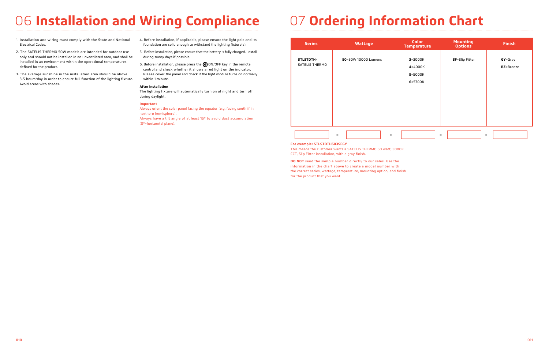# 06 **Installation and Wiring Compliance**

- 1. Installation and wiring must comply with the State and National Electrical Codes.
- 2. The SATELIS THERMO 50W models are intended for outdoor use only and should not be installed in an unventilated area, and shall be installed in an environment within the operational temperatures defined for the product.
- 3. The average sunshine in the installation area should be above 3.5 hours/day in order to ensure full function of the lighting fixture. Avoid areas with shades.
- 4. Before installation, if applicable, please ensure the light pole and its foundation are solid enough to withstand the lighting fixture(s).
- 5. Before installation, please ensure that the battery is fully charged. Install during sunny days if possible.
- 6. Before installation, please press the  $\bigcirc$  ON/OFF key in the remote control and check whether it shows a red light on the indicator. Please cover the panel and check if the light module turns on normally within 1 minute.

# **After Installation**

The lighting fixture will automatically turn on at night and turn off during daylight.

# **Important**

Always orient the solar panel facing the equator (e.g. facing south if in northern hemisphere).

Always have a tilt angle of at least 15° to avoid dust accumulation (0°=horizontal plane).

### **For example: STLSTDTH503SFGY**

This means the customer wants a SATELIS THERMO 50 watt, 3000K CCT, Slip Fitter installation, with a gray finish.

**DO NOT** send the sample number directly to our sales. Use the information in the chart above to create a model number with the correct series, wattage, temperature, mounting option, and finish for the product that you want.

| <b>Series</b>                      | <b>Wattage</b>      | <b>Color</b><br><b>Temperat</b>              |
|------------------------------------|---------------------|----------------------------------------------|
| <b>STLSTDTH=</b><br>SATELIS THERMO | 50=50W 10000 Lumens | $3 = 3000K$<br>4=4000K<br>5=5000K<br>6=5700K |
|                                    |                     |                                              |

| <b>Wattage</b>      | <b>Color</b><br><b>Temperature</b>           | <b>Mounting</b><br><b>Options</b> | <b>Finish</b>                |
|---------------------|----------------------------------------------|-----------------------------------|------------------------------|
| 50=50W 10000 Lumens | $3 = 3000K$<br>4=4000K<br>5=5000K<br>6=5700K | <b>SF</b> =Slip Fitter            | GY=Gray<br><b>BZ</b> =Bronze |
| Ξ.<br>3SFGY         |                                              | -                                 |                              |

# 07 **Ordering Information Chart**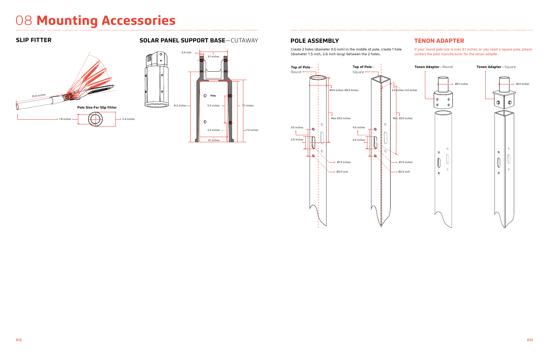# 08 **Mounting Accessories**

# **SLIP FITTER SOLAR PANEL SUPPORT BASE**—CUTAWAY





Create 2 holes (diameter 0.5 inch) in the middle of pole, create 1 hole (diameter 1.5 inch, 2.6 inch long) between the 2 holes.

If your round pole size is over 3.1 inches, or you need a square pole, please contact the pole manufacturer for the tenon adapter.

# **POLE ASSEMBLY TENON ADAPTER**

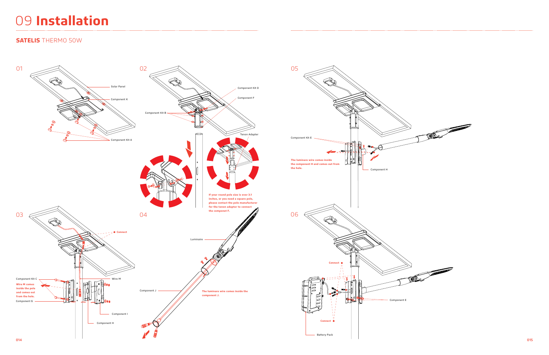# 09 **Installation**

# **SATELIS** THERMO 50W

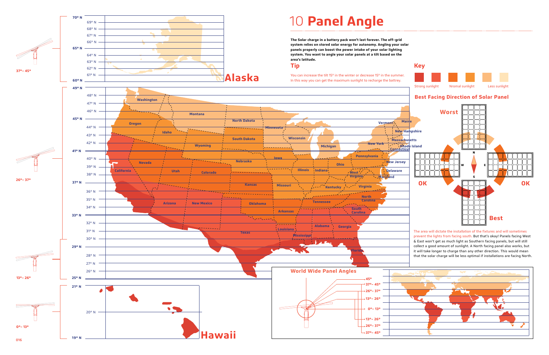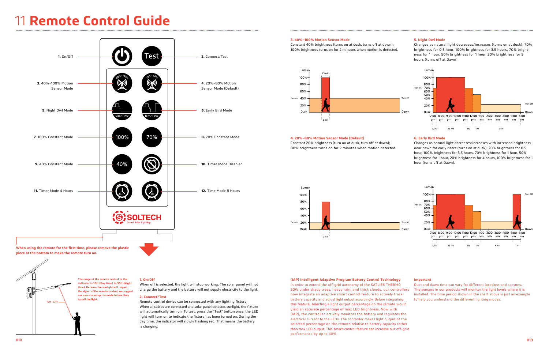f

# 11 **Remote Control Guide**

### **1. On/Off**

When off is selected, the light will stop working. The solar panel will not charge the battery and the battery will not supply electricity to the light.

### **2. Connect/Test**



Remote control device can be connected with any lighting fixture. When all cables are connected and solar panel detectes sunlight, the fixture will automatically turn on. To test, press the "Test" button once, the LED light will turn on to indicate the fixture has been turned on. During the day time, the indicator will slowly flashing red. That means the battery is charging.

**piece at the bottom to make the remote turn on.**

**The range of the remote control to the indicator is 16ft (Day time) to 33ft (Night time). Because the sunlight will impact the signal of the remote control, we suggest our users to setup the mode before they install the light.** 16ft–33ft

## **3. 40%~100% Motion Sensor Mode**

Constant 40% brightness (turns on at dusk, turns off at dawn); 100% brightness turns on for 2 minutes when motion is detected.



### **4. 20%~80% Motion Sensor Mode (Default)**

Constant 20% brightness (turn on at dusk, turn off at dawn); 80% brightness turns on for 2 minutes when motion detected.



# **5. Night Owl Mode**

Changes as natural light decreases/increases (turns on at dusk); 70% brightness for 0.5 hour, 100% brightness for 3.5 hours, 70% brightness for 1 hour, 50% brightness for 1 hour, 20% brightness for 5 hours (turns off at Dawn).

### **6. Early Bird Mode**

Changes as natural light decreases/increases with increased brightness near dawn for early risers (turns on at dusk); 70% brightness for 0.5 hour, 100% brightness for 3.5 hours, 70% brightness for 1 hour, 50% brightness for 1 hour, 20% brightness for 4 hours, 100% brightness for 1 hour (turns off at Dawn).

### **Important**

Dust and dawn time can vary for different locations and seasons. The sensors in our products will monitor the light levels where it is installed. The time period shown in the chart above is just an example to help you understand the different lighting modes.

# **(IAP) Intelligent Adaptive Program Battery Control Technology**

In order to extend the off-grid autonomy of the SATLIES THERMO 50W under shady trees, heavy rain, and thick clouds, our controllers now integrate an adaptive smart control feature to actively track battery capacity and adjust light output accordingly. Before integrating this feature, selecting a light output percentage on the remote would yield an accurate percentage of max LED brightness. Now with (IAP), the controller actively monitors the battery and regulates the electrical current to the LEDs. The controller makes light output of the selected percentage on the remote relative to battery capacity rather than max LED output. This smart-control feature can increase our off-grid performance by up to 40%.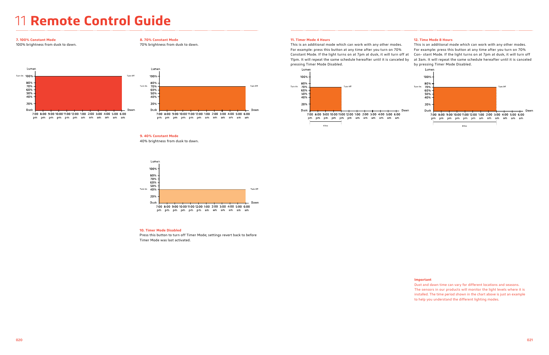# 11 **Remote Control Guide**

# **8. 70% Constant Mode**

70% brightness from dusk to dawn.



# **9. 40% Constant Mode**

40% brightness from dusk to dawn.



## **10. Timer Mode Disabled**

Press this button to turn off Timer Mode; settings revert back to before Timer Mode was last activated.

### **7. 100% Constant Mode**

100% brightness from dusk to dawn.



pm pm pm pm pm pm am am am am am am

# **11. Timer Mode 4 Hours**

This is an additional mode which can work with any other modes. For example: press this button at any time after you turn on 70% Constant Mode. If the light turns on at 7pm at dusk, it will turn off at 11pm. It will repeat the same schedule hereafter until it is canceled by pressing Timer Mode Disabled. This is an additional mode which can work with any other modes. For example: press this button at any time after you turn on 70% Con- stant Mode. If the light turns on at 7pm at dusk, it will turn off at 3am. It will repeat the same schedule hereafter until it is canceled by pressing Timer Mode Disabled.

# **12. Time Mode 8 Hours**



### **Important**

Dust and dawn time can vary for different locations and seasons. The sensors in our products will monitor the light levels where it is installed. The time period shown in the chart above is just an example to help you understand the different lighting modes.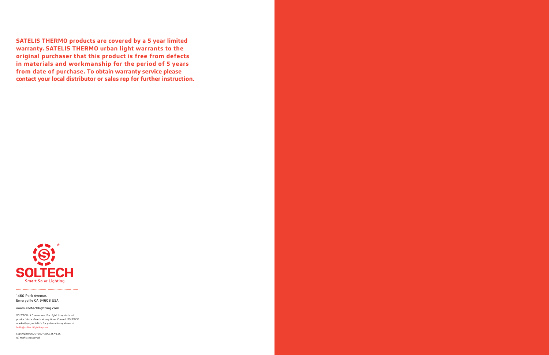*SOLTECH LLC reserves the right to update all product data sheets at any time. Consult SOLTECH marketing specialists for publication updates at hello@soltechlighting.com*

na ngan nasarawa. *Copyright©2020–2021 SOLTECH LLC, All Rights Reserved.*

**SATELIS THERMO products are covered by a 5 year limited warranty. SATELIS THERMO urban light warrants to the original purchaser that this product is free from defects in materials and workmanship for the period of 5 years from date of purchase. To obtain warranty service please contact your local distributor or sales rep for further instruction.** 



1460 Park Avenue. Emeryville CA 94608 USA

www.soltechlighting.com